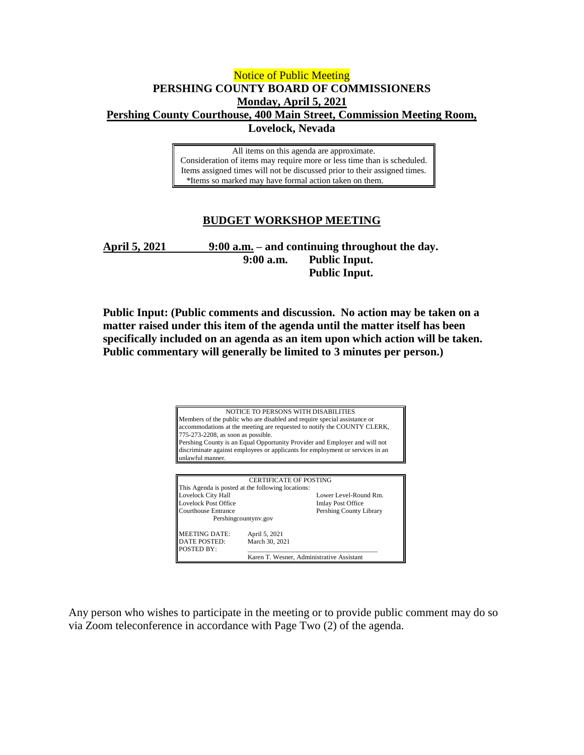## Notice of Public Meeting **PERSHING COUNTY BOARD OF COMMISSIONERS Monday, April 5, 2021 Pershing County Courthouse, 400 Main Street, Commission Meeting Room, Lovelock, Nevada**

All items on this agenda are approximate. Consideration of items may require more or less time than is scheduled. Items assigned times will not be discussed prior to their assigned times. \*Items so marked may have formal action taken on them.

## **BUDGET WORKSHOP MEETING**

**April 5, 2021 9:00 a.m. – and continuing throughout the day. 9:00 a.m. Public Input. Public Input.**

**Public Input: (Public comments and discussion. No action may be taken on a matter raised under this item of the agenda until the matter itself has been specifically included on an agenda as an item upon which action will be taken. Public commentary will generally be limited to 3 minutes per person.)**



Any person who wishes to participate in the meeting or to provide public comment may do so via Zoom teleconference in accordance with Page Two (2) of the agenda.